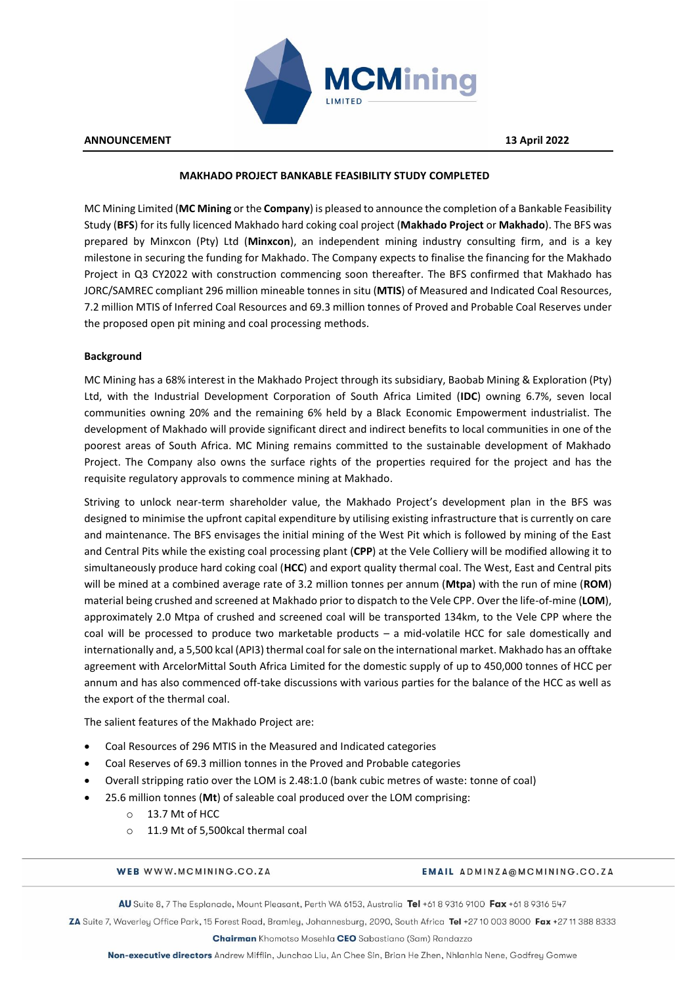

**ANNOUNCEMENT 13 April 2022**

# **MAKHADO PROJECT BANKABLE FEASIBILITY STUDY COMPLETED**

MC Mining Limited (**MC Mining** or the **Company**) is pleased to announce the completion of a Bankable Feasibility Study (**BFS**) for its fully licenced Makhado hard coking coal project (**Makhado Project** or **Makhado**). The BFS was prepared by Minxcon (Pty) Ltd (**Minxcon**), an independent mining industry consulting firm, and is a key milestone in securing the funding for Makhado. The Company expects to finalise the financing for the Makhado Project in Q3 CY2022 with construction commencing soon thereafter. The BFS confirmed that Makhado has JORC/SAMREC compliant 296 million mineable tonnes in situ (**MTIS**) of Measured and Indicated Coal Resources, 7.2 million MTIS of Inferred Coal Resources and 69.3 million tonnes of Proved and Probable Coal Reserves under the proposed open pit mining and coal processing methods.

## **Background**

MC Mining has a 68% interest in the Makhado Project through its subsidiary, Baobab Mining & Exploration (Pty) Ltd, with the Industrial Development Corporation of South Africa Limited (**IDC**) owning 6.7%, seven local communities owning 20% and the remaining 6% held by a Black Economic Empowerment industrialist. The development of Makhado will provide significant direct and indirect benefits to local communities in one of the poorest areas of South Africa. MC Mining remains committed to the sustainable development of Makhado Project. The Company also owns the surface rights of the properties required for the project and has the requisite regulatory approvals to commence mining at Makhado.

Striving to unlock near-term shareholder value, the Makhado Project's development plan in the BFS was designed to minimise the upfront capital expenditure by utilising existing infrastructure that is currently on care and maintenance. The BFS envisages the initial mining of the West Pit which is followed by mining of the East and Central Pits while the existing coal processing plant (**CPP**) at the Vele Colliery will be modified allowing it to simultaneously produce hard coking coal (**HCC**) and export quality thermal coal. The West, East and Central pits will be mined at a combined average rate of 3.2 million tonnes per annum (**Mtpa**) with the run of mine (**ROM**) material being crushed and screened at Makhado prior to dispatch to the Vele CPP. Over the life-of-mine (**LOM**), approximately 2.0 Mtpa of crushed and screened coal will be transported 134km, to the Vele CPP where the coal will be processed to produce two marketable products – a mid-volatile HCC for sale domestically and internationally and, a 5,500 kcal (API3) thermal coal for sale on the international market. Makhado has an offtake agreement with ArcelorMittal South Africa Limited for the domestic supply of up to 450,000 tonnes of HCC per annum and has also commenced off-take discussions with various parties for the balance of the HCC as well as the export of the thermal coal.

The salient features of the Makhado Project are:

- Coal Resources of 296 MTIS in the Measured and Indicated categories
- Coal Reserves of 69.3 million tonnes in the Proved and Probable categories
- Overall stripping ratio over the LOM is 2.48:1.0 (bank cubic metres of waste: tonne of coal)
- 25.6 million tonnes (**Mt**) of saleable coal produced over the LOM comprising:
	- o 13.7 Mt of HCC
	- o 11.9 Mt of 5,500kcal thermal coal

## WEB WWW.MCMINING.CO.ZA

## EMAIL ADMINZA@MCMINING.CO.ZA

AU Suite 8, 7 The Esplanade, Mount Pleasant, Perth WA 6153, Australia Tel +61 8 9316 9100 Fax +61 8 9316 547

ZA Suite 7, Waverley Office Park, 15 Forest Road, Bramley, Johannesburg, 2090, South Africa Tel +27 10 003 8000 Fax +27 11 388 8333

Chairman Khomotso Mosehla CEO Sabastiano (Sam) Randazzo

Non-executive directors Andrew Mifflin, Junchao Liu, An Chee Sin, Brian He Zhen, Nhlanhla Nene, Godfrey Gomwe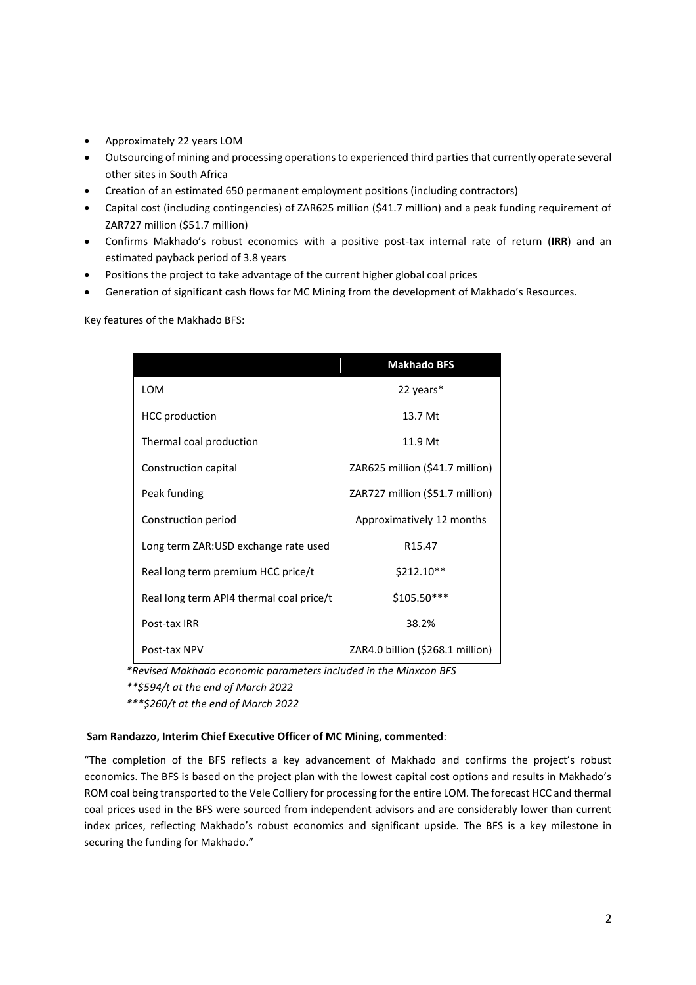- Approximately 22 years LOM
- Outsourcing of mining and processing operations to experienced third parties that currently operate several other sites in South Africa
- Creation of an estimated 650 permanent employment positions (including contractors)
- Capital cost (including contingencies) of ZAR625 million (\$41.7 million) and a peak funding requirement of ZAR727 million (\$51.7 million)
- Confirms Makhado's robust economics with a positive post-tax internal rate of return (**IRR**) and an estimated payback period of 3.8 years
- Positions the project to take advantage of the current higher global coal prices
- Generation of significant cash flows for MC Mining from the development of Makhado's Resources.

Key features of the Makhado BFS:

|                                          | <b>Makhado BFS</b>               |
|------------------------------------------|----------------------------------|
| LOM                                      | 22 years*                        |
| <b>HCC</b> production                    | 13.7 Mt                          |
| Thermal coal production                  | 11.9 Mt                          |
| Construction capital                     | ZAR625 million (\$41.7 million)  |
| Peak funding                             | ZAR727 million (\$51.7 million)  |
| Construction period                      | Approximatively 12 months        |
| Long term ZAR:USD exchange rate used     | R <sub>15.47</sub>               |
| Real long term premium HCC price/t       | $$212.10**$                      |
| Real long term API4 thermal coal price/t | \$105.50***                      |
| Post-tax IRR                             | 38.2%                            |
| Post-tax NPV                             | ZAR4.0 billion (\$268.1 million) |

*\*Revised Makhado economic parameters included in the Minxcon BFS \*\*\$594/t at the end of March 2022*

*\*\*\*\$260/t at the end of March 2022*

# **Sam Randazzo, Interim Chief Executive Officer of MC Mining, commented**:

"The completion of the BFS reflects a key advancement of Makhado and confirms the project's robust economics. The BFS is based on the project plan with the lowest capital cost options and results in Makhado's ROM coal being transported to the Vele Colliery for processing for the entire LOM. The forecast HCC and thermal coal prices used in the BFS were sourced from independent advisors and are considerably lower than current index prices, reflecting Makhado's robust economics and significant upside. The BFS is a key milestone in securing the funding for Makhado."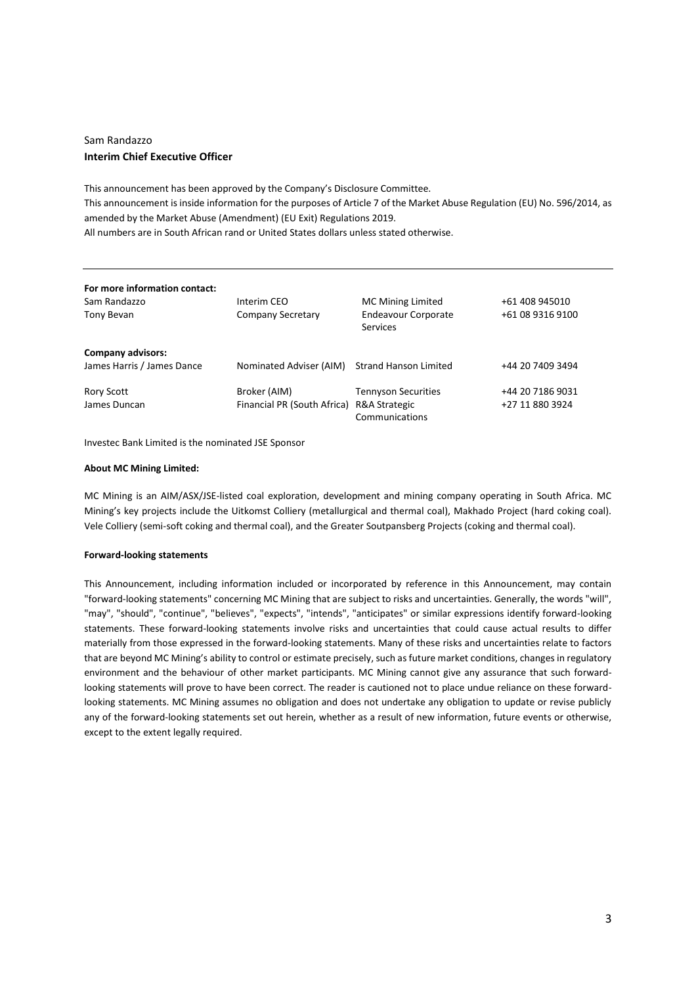# Sam Randazzo **Interim Chief Executive Officer**

This announcement has been approved by the Company's Disclosure Committee. This announcement is inside information for the purposes of Article 7 of the Market Abuse Regulation (EU) No. 596/2014, as amended by the Market Abuse (Amendment) (EU Exit) Regulations 2019. All numbers are in South African rand or United States dollars unless stated otherwise.

| For more information contact:<br>Sam Randazzo<br>Tony Bevan | Interim CEO<br>Company Secretary                          | <b>MC Mining Limited</b><br><b>Endeavour Corporate</b><br>Services | +61 408 945010<br>+61 08 9316 9100  |
|-------------------------------------------------------------|-----------------------------------------------------------|--------------------------------------------------------------------|-------------------------------------|
| <b>Company advisors:</b><br>James Harris / James Dance      | Nominated Adviser (AIM)                                   | <b>Strand Hanson Limited</b>                                       | +44 20 7409 3494                    |
| Rory Scott<br>James Duncan                                  | Broker (AIM)<br>Financial PR (South Africa) R&A Strategic | <b>Tennyson Securities</b><br>Communications                       | +44 20 7186 9031<br>+27 11 880 3924 |

Investec Bank Limited is the nominated JSE Sponsor

# **About MC Mining Limited:**

MC Mining is an AIM/ASX/JSE-listed coal exploration, development and mining company operating in South Africa. MC Mining's key projects include the Uitkomst Colliery (metallurgical and thermal coal), Makhado Project (hard coking coal). Vele Colliery (semi-soft coking and thermal coal), and the Greater Soutpansberg Projects (coking and thermal coal).

## **Forward-looking statements**

This Announcement, including information included or incorporated by reference in this Announcement, may contain "forward-looking statements" concerning MC Mining that are subject to risks and uncertainties. Generally, the words "will", "may", "should", "continue", "believes", "expects", "intends", "anticipates" or similar expressions identify forward-looking statements. These forward-looking statements involve risks and uncertainties that could cause actual results to differ materially from those expressed in the forward-looking statements. Many of these risks and uncertainties relate to factors that are beyond MC Mining's ability to control or estimate precisely, such as future market conditions, changes in regulatory environment and the behaviour of other market participants. MC Mining cannot give any assurance that such forwardlooking statements will prove to have been correct. The reader is cautioned not to place undue reliance on these forwardlooking statements. MC Mining assumes no obligation and does not undertake any obligation to update or revise publicly any of the forward-looking statements set out herein, whether as a result of new information, future events or otherwise, except to the extent legally required.